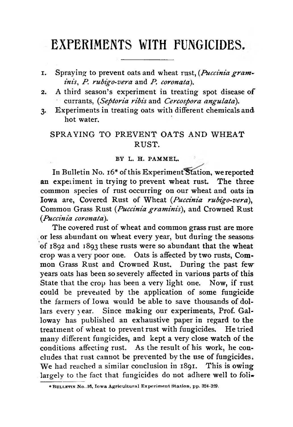# EXPERIMENTS WITH FUNGICIDES

- **1. Spraying to prevent oats and wheat rust,** *(Puccinia grantin is***,** *P. rubigo-vera* **and** *P. coronata).*
- 2. A third season's experiment in treating spot disease of **currants,** *(Septoria ribis* **and** *Cercospora angulata).*
- **3. Experiments in treating oats with different chemicals and hot water.**

# SPRAYING TO PREVENT OATS AND WHEAT **R U S T .**

## BY L. H. PAMMEL.

**In Bulletin No. 16\* of this Experiment'Station, we reported an expeiiment in trying to prevent wheat rust. The three common species of rust occurring on our wheat and oats in** Iowa are, Covered Rust of Wheat *(Puccinia rubigo-vera)*, **Common Grass Rust** *(Puccinia gram inis***), and Crowned Rust** *(.Puccinia coronata).*

**The covered rust of wheat and common grass rust are more or less abundant on wheat every year, but during the seasons of 1892 and 1893 these rusts were so abundant that the wheat crop was a very poor one. Oats is affected by two rusts, Common Grass Rust and Crowned Rust. During the past few years oats has been so severely affected in various parts of this State that the crop has been a very light one. Now, if rust could be prevented by the application of some fungicide the farmers of Iowa would be able to save thousands of dollars every year. Since making our experiments, Prof. Galloway has published an exhaustive paper in regard to the treatment of wheat to prevent rust with fungicides. He tried many different fungicides, and kept a very close watch of the conditions affecting rust. As the result of his work, he concludes that rust cannot be prevented by the use of fungicides; We had reached a similar conclusion in 1891. This is owing largely to the fact that fungicides do not adhere well to foli\***

<sup>\*</sup> BULLETIN No..16, Iowa Agricultural Experiment Station, pp. 324-329.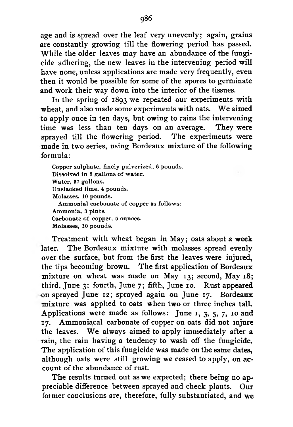**age and is spread over the leaf very unevenly; again, grains are constantly growing till the flowering period has passed.** While the older leaves may have an abundance of the fungi**cide adhering, the new leaves in the intervening period will have none, unless applications are made very frequently, even then it would be possible for some of the spores to germinate and work their way down into the interior of the tissues.**

**In the spring of 1893 we repeated our experiments with** wheat, and also made some experiments with oats. We aimed **to apply once in ten days, but owing to rains the intervening time was less than ten days on an average. They were sprayed till the flowering period. The experiments were made in two series, using Bordeaux mixture of the following formula:**

Copper sulphate, finely pulverized, 6 pounds. Dissolved in 8 gallons of water. Water, 37 gallons. Unslacked lime, 4 pounds. Molasses, 10 pounds. Ammonial carbonate of copper as follows: Ammonia, 3 pints. Carbonate of copper, 5 ounces. Molasses, 10 pounds.

**Treatment with wheat began in May; oats about a week later. The Bordeaux mixture with molasses spread evenly over the surface, but from the first the leaves were injured, the tips becoming brown. The first application of Bordeaux mixture on wheat was made on May 13; second, May 18; third, June 3; fourth, June 7; fifth, June 10. Rust appeared on sprayed June 12; sprayed again on June 17. Bordeaux mixture was applied to oats when two or three inches tall. Applications were made as follows: June 1, 3, 5, 7, 10 and 17. Ammoniacal carbonate of copper on oats did not injure** the leaves. We always aimed to apply immediately after a **rain, the rain having a tendency to wash off the fungicide.** The application of this fungicide was made on the same dates, **although oats were still growing we ceased to apply, on account of the abundance of rust.**

**The results turned out as we expected; there being no appreciable difference between sprayed and check plants. Our foimer conclusions are, therefore, fully substantiated, and we**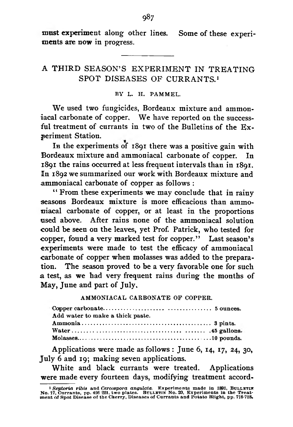**must experiment along other lines. Some of these experiments are now in progress.**

## A THIRD SEASON'S EXPERIMENT IN TREATING SPOT DISEASES OF CURRANTS.<sup>1</sup>

## BY *L.* H. PAMMEL.

We used two fungicides, Bordeaux mixture and ammon**iacal carbonate of copper. We have reported on the success**ful treatment of currants in two of the Bulletins of the Ex**periment Station.**

**In the experiments of 1891 there was a positive gain with Bordeaux mixture and ammoniacal carbonate of copper. In 1891 the rains occurred at less frequent intervals than in 1891. In 1892 we summarized our work with Bordeaux mixture and ammoniacal carbonate of copper as follows :**

**" From these experiments we may conclude that in rainy seasons Bordeaux mixture is more efficacious than ammosiiacal carbonate of copper, or at least in the proportions used above. After rains none of the ammoniacal solution could be seen on the leaves, yet Prof. Patrick, who tested for** copper, found a very marked test for copper." Last season's **experiments were made to test the efficacy of ammoniacal carbonate of copper when molasses was added to the preparation. The season proved to be a very favorable one for such a test, as we had very frequent rains during the months of May, June and part of July.**

AMMONIACAL CARBONATE OF COPPER.

| Add water to make a thick paste. |  |
|----------------------------------|--|
|                                  |  |
|                                  |  |
|                                  |  |

**Applications were made as follows : June 6, 14, 17, 24, 30, July 6 and 19; making seven applications.**

**White and black currants were treated. Applications were made every fourteen days, modifying treatment accord-**

<sup>&</sup>lt;sup>1</sup> Septoria ribis and Cercospora angulata. Experiments made in 1891, BULLETIN No. 17, Currants, pp. 426 221, two plates. BULLET No. 17, Currants, pp. 426 221, two plates. Butcher and the Treat-<br>ment of Spot Disease of the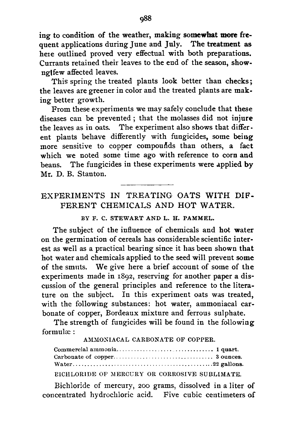**ing to condition of the weather, making somewhat more frequent applications during June and July. The treatment as heie outlined proved very effectual with both preparations. Currants retained their leaves to the end of the season, shownglfew affected leaves.**

**This spring the treated plants look better than checks; the leaves are greener in color and the treated plants are making better growth.**

**From these experiments we may safely conclude that these diseases can be prevented ; that the molasses did not injure the leaves as in oats. The experiment also shows that different plants behave differently with fungicides, some being more sensitive to copper compouftds than others, a fact which we noted some time ago with reference to corn and beans. The fungicides in these experiments were applied by Mr. D. B. Stanton.**

# EXPERIMENTS IN TREATING OATS WITH DIF-FERENT CHEMICALS AND HOT WATER.

BY F. C. STEWART AND L. H. PAMMEL.

**The subject of the influence of chemicals and hot water on the germination of cereals has considerable scientific interest as well as a practical bearing since it has been shown that hot water and chemicals applied to the seed will prevent some of the smuts. We give here a brief account of some of the experiments made in 1892, reserving for another paper a discussion of the general principles and reference to the literature on the subject. In this experiment oats was treated, with the following substances: hot water, ammoniacal carbonate of copper, Bordeaux mixture and ferrous sulphate.**

**The strength of fungicides will be found in the following formulae :**

AMMONIACAL CARBONATE OF COPPER.

Commercial ammonia. . 1 quart. Carbonate of copper.. 3 ounces. W ater.......................... 22 gallons.

BICHLORIDE OF MERCURY OR CORROSIVE SUBLIMATE.

**Bichloride of mercury, 200 grams, dissolved in a liter of concentrated hydrochloric acid. Five cubic centimeters of**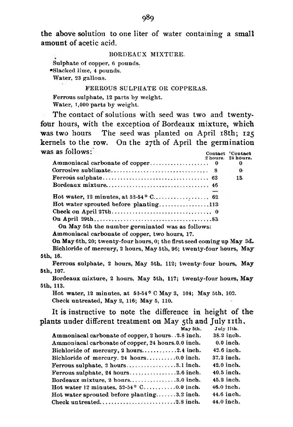**the above solution to one liter of water containing a small amount of acetic acid.**

#### BORDEAUX MIXTURE.

Sulphate of copper, 6 pounds. •Slacked lime, 4 pounds. Water, 23 gallons.

## FERROUS SULPHATE OR COPPERAS.

Ferrous sulphate, 12 parts by weight. Water, 1,000 parts by weight.

**The contact of solutions with seed was two and twentyfour hours, with the exception of Bordeaux mixture, which was two hours The seed was planted on April 18th; 125 kernels to the row. On the 27th of April the germination was as follows:** Contact **Contact** 

|                                                            | oonwaci oonwaci    |
|------------------------------------------------------------|--------------------|
|                                                            | 2 hours. 24 hours. |
|                                                            | $\bf{o}$           |
|                                                            | $\mathbf{0}$       |
|                                                            | 13.                |
|                                                            |                    |
|                                                            |                    |
|                                                            |                    |
| Hot water sprouted before planting113                      |                    |
|                                                            |                    |
|                                                            |                    |
| $\Delta u$ , Man File is a small constructed in $\Delta u$ |                    |

On May 5th the number germinated was as follows:

Ammoniacal carbonate of copper, two hours, 17.

On May 6th, 20; twenty-four hours, 0; the first seed coming up May 3d, Bichloride of mercury, 2 hours, May 5th, 96; twenty-four hours, May 5th, 16.

Ferrous sulphate, 2 hours, May 5th, 112; twenty-four hours, May 5th, 107.

Bordeaux mixture, 2 hours, May 5th, 117; twenty-four hours, May 5th, 113.

Hot water, 12 minutes, at  $53-54^{\circ}$  C May 3, 104; May 5th, 102. Check untreated, May 2, 116; May 5, 110.

**It is instructive to note the difference in height of the** plants under different treatment on May 5th and July 11th.

| May 5th.                                                                            | July 11th.  |
|-------------------------------------------------------------------------------------|-------------|
| Ammoniacal carbonate of copper, 2 hours. . 2.8 inch.                                | 38.2 inch.  |
| Ammoniacal carbonate of copper, 24 honrs.0.0 inch.                                  | $0.0$ inch. |
| Bichloride of mercury, $2 \text{ hours} \dots \dots \dots 2.4 \text{ inch.}$        | 42.6 inch.  |
|                                                                                     | 37.2 inch.  |
| Ferrous sulphate, $2 \text{ hours} \dots \dots \dots \dots \dots 3.1 \text{ inch.}$ | 42.0 inch.  |
| Ferrous sulphate, $24 \text{ hours}$ 2.6 inch.                                      | 40.5 inch.  |
| Bordeaux mixture, $2 \text{ hours} \dots \dots \dots \dots \dots 3.0 \text{ inch.}$ | 45.2 inch.  |
| Hot water 12 minutes, $52-54^{\circ}$ C0.0 inch.                                    | 46.0 inch.  |
| Hot water sprouted before planting3.2 inch.                                         | 44.6 inch.  |
| Check untreated2.8 inch.                                                            | 44.0 inch.  |